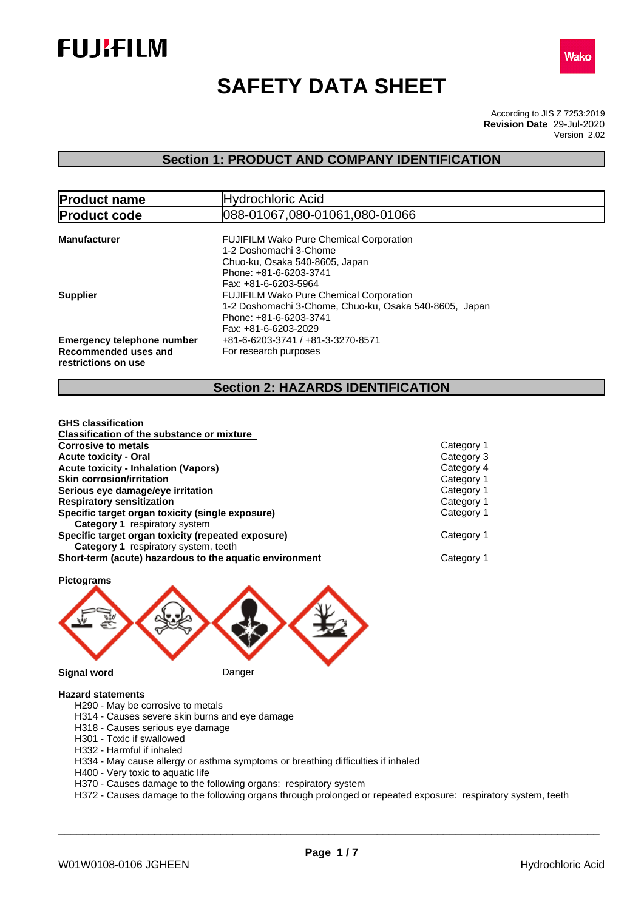



# **SAFETY DATA SHEET**

According to JIS Z 7253:2019 Version 2.02 **Revision Date** 29-Jul-2020

## **Section 1: PRODUCT AND COMPANY IDENTIFICATION**

| <b>Product name</b>                                                              | <b>Hydrochloric Acid</b>                                                                                                                                                           |  |  |  |
|----------------------------------------------------------------------------------|------------------------------------------------------------------------------------------------------------------------------------------------------------------------------------|--|--|--|
| <b>Product code</b>                                                              | 088-01067,080-01061,080-01066                                                                                                                                                      |  |  |  |
| <b>Manufacturer</b>                                                              | <b>FUJIFILM Wako Pure Chemical Corporation</b><br>1-2 Doshomachi 3-Chome<br>Chuo-ku, Osaka 540-8605, Japan<br>Phone: +81-6-6203-3741                                               |  |  |  |
| <b>Supplier</b>                                                                  | Fax: +81-6-6203-5964<br><b>FUJIFILM Wako Pure Chemical Corporation</b><br>1-2 Doshomachi 3-Chome, Chuo-ku, Osaka 540-8605, Japan<br>Phone: +81-6-6203-3741<br>Fax: +81-6-6203-2029 |  |  |  |
| <b>Emergency telephone number</b><br>Recommended uses and<br>restrictions on use | +81-6-6203-3741 / +81-3-3270-8571<br>For research purposes                                                                                                                         |  |  |  |

## **Section 2: HAZARDS IDENTIFICATION**

| <b>GHS</b> classification                                                                         |            |
|---------------------------------------------------------------------------------------------------|------------|
| <b>Classification of the substance or mixture</b>                                                 |            |
| <b>Corrosive to metals</b>                                                                        | Category 1 |
| <b>Acute toxicity - Oral</b>                                                                      | Category 3 |
| <b>Acute toxicity - Inhalation (Vapors)</b>                                                       | Category 4 |
| <b>Skin corrosion/irritation</b>                                                                  | Category 1 |
| Serious eye damage/eye irritation                                                                 | Category 1 |
| <b>Respiratory sensitization</b>                                                                  | Category 1 |
| Specific target organ toxicity (single exposure)<br><b>Category 1</b> respiratory system          | Category 1 |
| Specific target organ toxicity (repeated exposure)<br><b>Category 1</b> respiratory system, teeth | Category 1 |
| Short-term (acute) hazardous to the aquatic environment                                           | Category 1 |

**Pictograms Signal word** Danger

#### **Hazard statements**

- H290 May be corrosive to metals
- H314 Causes severe skin burns and eye damage
- H318 Causes serious eye damage
- H301 Toxic if swallowed
- H332 Harmful if inhaled
- H334 May cause allergy or asthma symptoms or breathing difficulties if inhaled
- H400 Very toxic to aquatic life
- H370 Causes damage to the following organs: respiratory system
- H372 Causes damage to the following organs through prolonged or repeated exposure: respiratory system, teeth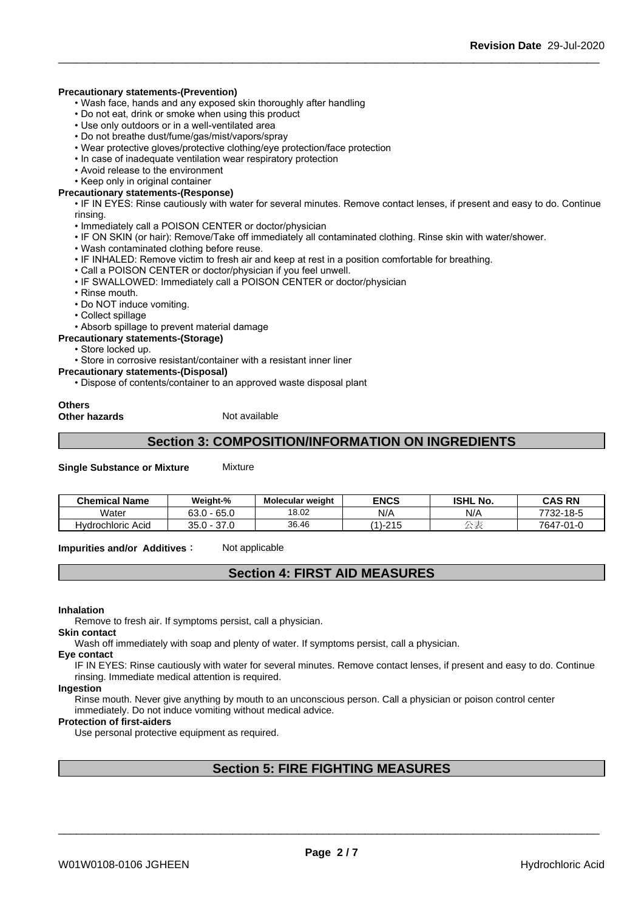### **Precautionary statements-(Prevention)**

- Wash face, hands and any exposed skin thoroughly after handling
- Do not eat, drink or smoke when using this product
- Use only outdoors or in a well-ventilated area
- Do not breathe dust/fume/gas/mist/vapors/spray
- Wear protective gloves/protective clothing/eye protection/face protection
- In case of inadequate ventilation wear respiratory protection
- Avoid release to the environment
- Keep only in original container

### **Precautionary statements-(Response)**

• IF IN EYES: Rinse cautiously with water for several minutes. Remove contact lenses, if present and easy to do. Continue rinsing.

- Immediately call a POISON CENTER or doctor/physician
- IF ON SKIN (or hair): Remove/Take off immediately all contaminated clothing. Rinse skin with water/shower.
- Wash contaminated clothing before reuse.
- IF INHALED: Remove victim to fresh air and keep at rest in a position comfortable for breathing.
- Call a POISON CENTER or doctor/physician if you feel unwell.
- IF SWALLOWED: Immediately call a POISON CENTER or doctor/physician
- Rinse mouth.
- Do NOT induce vomiting.
- Collect spillage
- Absorb spillage to prevent material damage
- **Precautionary statements-(Storage)**
	- Store locked up.

• Store in corrosive resistant/container with a resistant inner liner

- **Precautionary statements-(Disposal)**
	- Dispose of contents/container to an approved waste disposal plant

#### **Others Other hazards** Not available

## **Section 3: COMPOSITION/INFORMATION ON INGREDIENTS**

**Single Substance or Mixture** Mixture

| <b>Chemical Name</b> | Weight-%                               | <b>Molecular weight</b> | <b>ENCS</b>                    | <b>ISHL No.</b> | <b>CAS RN</b>         |
|----------------------|----------------------------------------|-------------------------|--------------------------------|-----------------|-----------------------|
| Water                | $\sim$ $\sim$<br>rn.<br>− ხ5.⊾<br>οა.∪ | 18.02                   | N/A                            | N/A             | 7722.40E<br>כ-סו−∠כ ֿ |
| Hydrochloric Acid    | $\sim$ $\sim$<br>35.0<br>ى. ، ر        | 36.46                   | 24E<br>$\lambda$<br>.<br>ں ہے۔ | $\rightarrow$ 2 | 7647-01-0             |

**Impurities and/or Additives:** Not applicable

## **Section 4: FIRST AID MEASURES**

### **Inhalation**

Remove to fresh air. If symptoms persist, call a physician.

## **Skin contact**

Wash off immediately with soap and plenty of water. If symptoms persist, calla physician.

### **Eye contact**

IF IN EYES: Rinse cautiously with water for several minutes. Remove contact lenses, if present and easy to do. Continue rinsing. Immediate medical attention is required.

### **Ingestion**

Rinse mouth. Never give anything by mouth to an unconscious person. Call a physician or poison control center immediately. Do not induce vomiting without medical advice.

### **Protection of first-aiders**

Use personal protective equipment as required.

## **Section 5: FIRE FIGHTING MEASURES**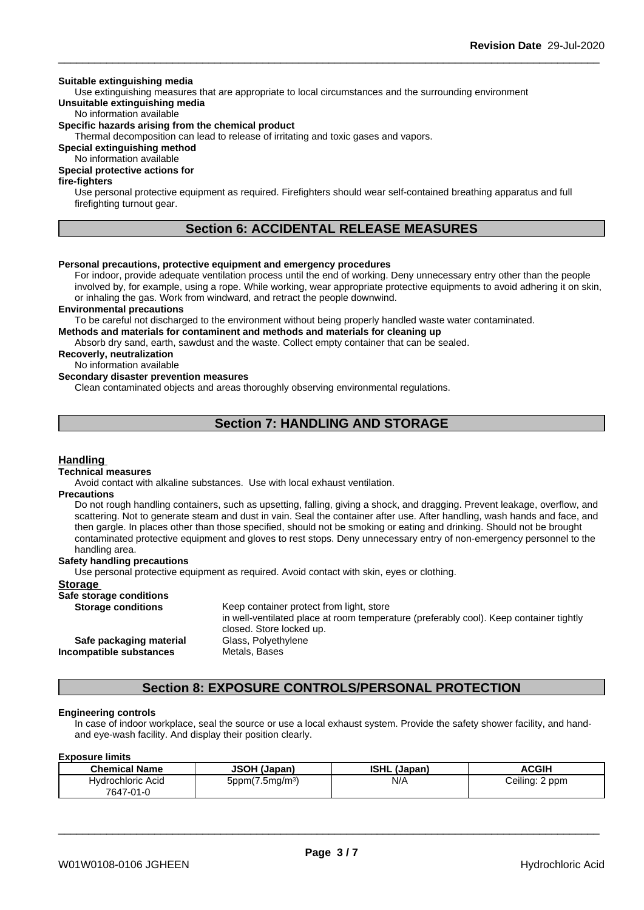#### **Suitable extinguishing media**

Use extinguishing measures that are appropriate to local circumstances and the surrounding environment **Unsuitable extinguishing media**

## No information available

### **Specific hazards arising from the chemical product**

Thermal decomposition can lead to release of irritating and toxic gases and vapors.

**Special extinguishing method**

## No information available

## **Special protective actions for**

### **fire-fighters**

Use personal protective equipment as required.Firefighters should wear self-contained breathing apparatus and full firefighting turnout gear.

## **Section 6: ACCIDENTAL RELEASE MEASURES**

### **Personal precautions, protective equipment and emergency procedures**

For indoor, provide adequate ventilation process until the end of working. Deny unnecessary entry other than the people involved by, for example, using a rope. While working, wear appropriate protective equipments to avoid adhering it on skin, or inhaling the gas. Work from windward, and retract the people downwind.

#### **Environmental precautions**

To be careful not discharged to the environment without being properly handled waste water contaminated.

**Methods and materials for contaminent and methods and materials for cleaning up**

Absorb dry sand, earth, sawdust and the waste. Collect empty container that can be sealed.

### **Recoverly, neutralization**

No information available

### **Secondary disaster prevention measures**

Clean contaminated objects and areas thoroughly observing environmental regulations.

## **Section 7: HANDLING AND STORAGE**

### **Handling**

#### **Technical measures**

Avoid contact with alkaline substances. Use with local exhaust ventilation.

#### **Precautions**

Do not rough handling containers, such as upsetting, falling, giving a shock, and dragging. Prevent leakage, overflow, and scattering. Not to generate steam and dust in vain. Seal the container after use. After handling, wash hands and face, and then gargle. In places other than those specified, should not be smoking or eating and drinking. Should not be brought contaminated protective equipment and gloves to rest stops. Deny unnecessary entry of non-emergency personnel to the handling area.

### **Safety handling precautions**

Use personal protective equipment as required.Avoid contact with skin, eyes or clothing.

#### **Storage**

### **Safe storage conditions**

**Storage conditions** Keep container protect from light, store in well-ventilated place at room temperature (preferably cool). Keep container tightly closed. Store locked up. **Safe packaging material Glass, Polyethylene Incompatible substances** Metals, Bases

\_\_\_\_\_\_\_\_\_\_\_\_\_\_\_\_\_\_\_\_\_\_\_\_\_\_\_\_\_\_\_\_\_\_\_\_\_\_\_\_\_\_\_\_\_\_\_\_\_\_\_\_\_\_\_\_\_\_\_\_\_\_\_\_\_\_\_\_\_\_\_\_\_\_\_\_\_\_\_\_\_\_\_\_\_\_\_\_\_\_

## **Section 8: EXPOSURE CONTROLS/PERSONAL PROTECTION**

### **Engineering controls**

In case of indoor workplace, seal the source or use a local exhaust system. Provide the safety shower facility, and handand eye-wash facility. And display their position clearly.

#### **Exposure limits**

| <b>Chemical Name</b> | <b>JSOH (Japan)</b>     | <b>ISHL</b><br>(Japan) | <b>ACGIH</b>          |
|----------------------|-------------------------|------------------------|-----------------------|
| Hydrochloric Acid    | $5$ ppm $(7.5$ mg/m $3$ | N/A                    | Ceiling: 2 ppm<br>. . |
| 7647-01-0            |                         |                        |                       |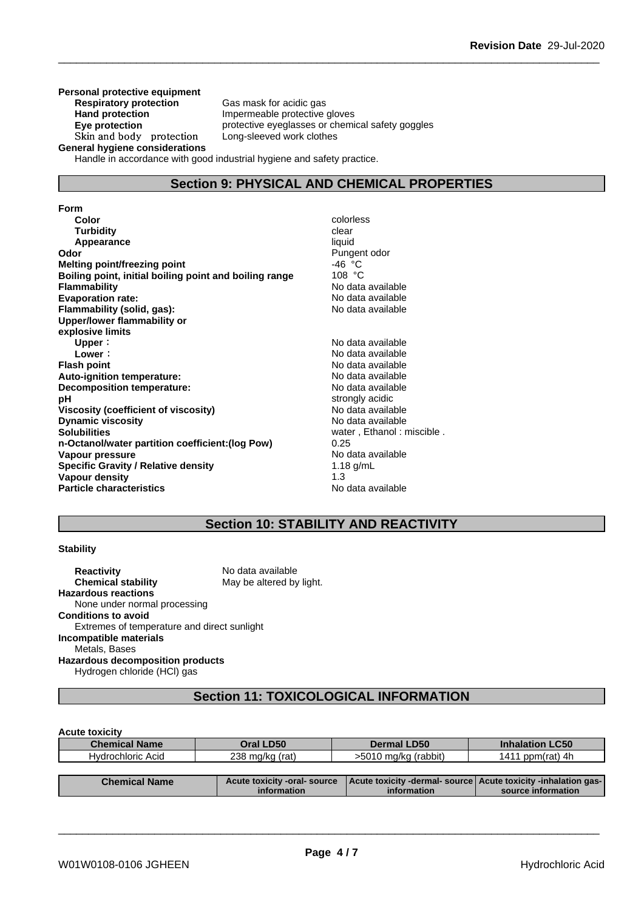**Personal protective equipment Respiratory protection** Gas mask for acidic gas **Hand protection**<br> **Eve protection**<br> **Eve protection**<br> **Eve protection**<br> **Eve protection** Skin and body protection **General hygiene considerations**

protective eyeglasses or chemical safety goggles<br>Long-sleeved work clothes

Handle in accordance with good industrial hygiene and safety practice.

## **Section 9: PHYSICAL AND CHEMICAL PROPERTIES**

**Form Color** colorless **Color** colorless **Color** colorless **Color** colorless **Color Color Color Color Color Color Color Color Color Color Color Color Color Color Color Color Color Color Color Turbidity Clear Appearance** liquid **Odor** Pungent odor<br> **Melting point/freezing point** example that the set of the Pungent odor<br>
Pungent odor A46 °C **Melting point/freezing point** -46 °C **Boiling point, initial boiling point and boiling range Flammability** No data available **Evaporation rate:** No data available **Flammability (solid, gas):** No data available **Upper/lower flammability or explosive limits Upper**: No data available **Lower**: No data available **Flash point**<br> **Auto-ignition temperature:**<br> **Auto-ignition temperature:**<br> **Auto-ignition temperature: Auto-ignition temperature:**<br> **Decomposition temperature:** No data available **Decomposition temperature:**<br>pH **Viscosity (coefficient of viscosity)** No data available **Dynamic viscosity**<br> **Solubilities**<br> **Solubilities**<br> **Solubilities n-Octanol/water partition coefficient:(log Pow)** 0.25 **Vapour pressure** No data available **Specific Gravity / Relative density** 1.18 g/mL **Vapour density** 1.3 **Particle characteristics** No data available

strongly acidic water, Ethanol : miscible .<br>0.25

## **Section 10: STABILITY AND REACTIVITY**

### **Stability**

**Reactivity** No data available **Chemical stability** May be altered by light. **Hazardous reactions** None under normal processing **Conditions to avoid** Extremes of temperature and direct sunlight **Incompatible materials** Metals, Bases **Hazardous decomposition products** Hydrogen chloride (HCl) gas

## **Section 11: TOXICOLOGICAL INFORMATION**

### **Acute toxicity**

| <b>Chemical Name</b> | Oral LD50                    | Dermal LD50          | <b>Inhalation LC50</b>                                         |
|----------------------|------------------------------|----------------------|----------------------------------------------------------------|
| Hydrochloric Acid    | 238 mg/kg (rat)              | >5010 mg/kg (rabbit) | 1411 ppm $(rat)$ 4h                                            |
|                      |                              |                      |                                                                |
| <b>Chemical Name</b> | Acute toxicity -oral- source |                      | Acute toxicity -dermal- source Acute toxicity -inhalation gas- |
|                      | information                  | information          | source information                                             |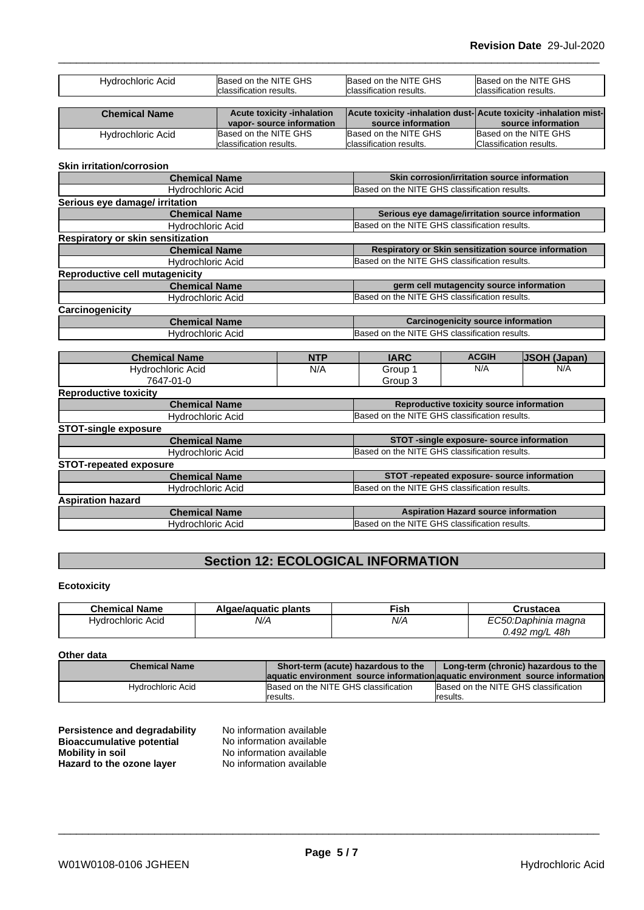| <b>ALCOHOL: NUMBER</b> | Access to contain the bolight on |                          | الفصاحب ويجافعا وماميل ويفاوضه والمتحدد فالفصياء ويجافعا والماميل ويفاوتهم فاستوق المستور |
|------------------------|----------------------------------|--------------------------|-------------------------------------------------------------------------------------------|
|                        |                                  |                          |                                                                                           |
|                        | classification results.          | Iclassification results. | Iclassification results.                                                                  |
| Hydrochloric Acid      | Based on the NITE GHS            | Based on the NITE GHS    | Based on the NITE GHS                                                                     |

| <b>Chemical Name</b> | <b>Acute toxicity -inhalation</b> |                          | Acute toxicity -inhalation dust-Acute toxicity -inhalation mist- |  |
|----------------------|-----------------------------------|--------------------------|------------------------------------------------------------------|--|
|                      | vapor-source information          | source information       | source information                                               |  |
| Hydrochloric Acid    | Based on the NITE GHS             | Based on the NITE GHS    | Based on the NITE GHS                                            |  |
|                      | Iclassification results.          | Iclassification results. | Classification results.                                          |  |

## **Skin irritation/corrosion**

| Skin corrosion/irritation source information         |
|------------------------------------------------------|
| Based on the NITE GHS classification results.        |
|                                                      |
| Serious eye damage/irritation source information     |
| Based on the NITE GHS classification results.        |
|                                                      |
| Respiratory or Skin sensitization source information |
| Based on the NITE GHS classification results.        |
|                                                      |
| germ cell mutagencity source information             |
| Based on the NITE GHS classification results.        |
|                                                      |
| <b>Carcinogenicity source information</b>            |
| Based on the NITE GHS classification results.        |
|                                                      |

| <b>Chemical Name</b>          | <b>NTP</b> | <b>IARC</b>                                   | <b>ACGIH</b>                                  | <b>JSOH (Japan)</b> |  |
|-------------------------------|------------|-----------------------------------------------|-----------------------------------------------|---------------------|--|
| Hydrochloric Acid             | N/A        | Group 1                                       | N/A                                           | N/A                 |  |
| 7647-01-0                     |            | Group 3                                       |                                               |                     |  |
| <b>Reproductive toxicity</b>  |            |                                               |                                               |                     |  |
| <b>Chemical Name</b>          |            |                                               | Reproductive toxicity source information      |                     |  |
| Hydrochloric Acid             |            | Based on the NITE GHS classification results. |                                               |                     |  |
| <b>STOT-single exposure</b>   |            |                                               |                                               |                     |  |
| <b>Chemical Name</b>          |            |                                               | STOT-single exposure- source information      |                     |  |
| Hydrochloric Acid             |            |                                               | Based on the NITE GHS classification results. |                     |  |
| <b>STOT-repeated exposure</b> |            |                                               |                                               |                     |  |
| <b>Chemical Name</b>          |            |                                               | STOT-repeated exposure- source information    |                     |  |
| Hydrochloric Acid             |            | Based on the NITE GHS classification results. |                                               |                     |  |
| <b>Aspiration hazard</b>      |            |                                               |                                               |                     |  |
| <b>Chemical Name</b>          |            |                                               | <b>Aspiration Hazard source information</b>   |                     |  |
| <b>Hydrochloric Acid</b>      |            | Based on the NITE GHS classification results. |                                               |                     |  |

## **Section 12: ECOLOGICAL INFORMATION**

## **Ecotoxicity**

| <b>Chemical Name</b>     | Algae/aguatic plants | <b>Fish</b> | Crustacea                                                                |
|--------------------------|----------------------|-------------|--------------------------------------------------------------------------|
| <b>Hydrochloric Acid</b> | N/A                  | N/A         | $T$ $C$ $F$ $O$ $\cdot$ $D$ $\sim$<br>.<br>: نەب <i>ر.Daphinia magna</i> |
|                          |                      |             | $0.492$ mg/L<br>48h                                                      |

### **Other data**

| <b>Chemical Name</b> | Short-term (acute) hazardous to the  | Long-term (chronic) hazardous to the                                          |
|----------------------|--------------------------------------|-------------------------------------------------------------------------------|
|                      |                                      | aquatic environment source information aquatic environment source information |
| Hvdrochloric Acid    | Based on the NITE GHS classification | Based on the NITE GHS classification                                          |
|                      | lresults.                            | results.                                                                      |

| Persistence and degradability    | No information available |
|----------------------------------|--------------------------|
| <b>Bioaccumulative potential</b> | No information available |
| <b>Mobility in soil</b>          | No information available |
| Hazard to the ozone layer        | No information available |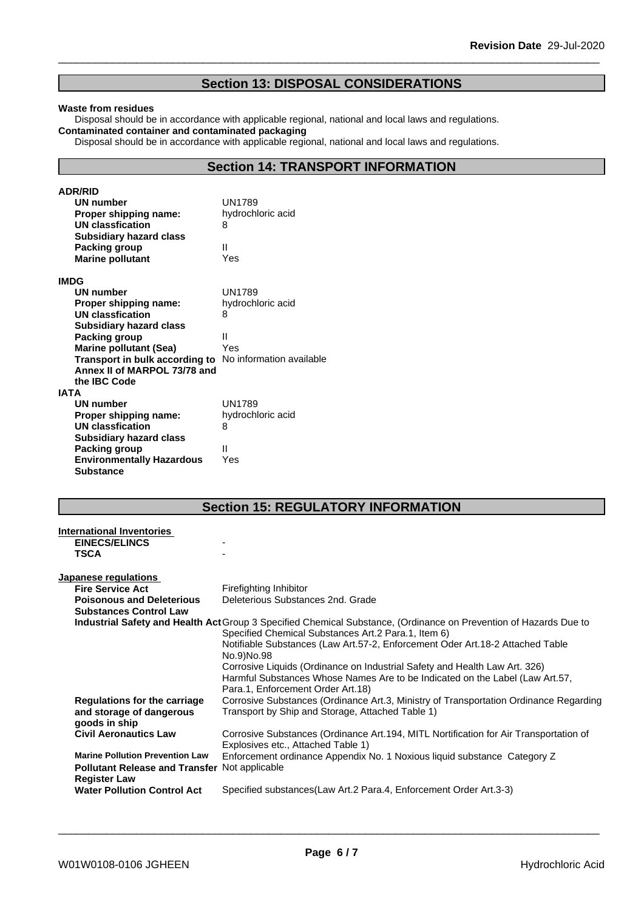## **Section 13: DISPOSAL CONSIDERATIONS**

#### **Waste from residues**

Disposal should be in accordance with applicable regional, national and local laws and regulations. **Contaminated container and contaminated packaging**

Disposal should be in accordance with applicable regional, national and local laws and regulations.

## **Section 14: TRANSPORT INFORMATION**

| <b>ADR/RID</b>                                                 |                   |
|----------------------------------------------------------------|-------------------|
| <b>UN number</b>                                               | UN1789            |
| Proper shipping name:                                          | hydrochloric acid |
| <b>UN classfication</b>                                        | 8                 |
| <b>Subsidiary hazard class</b>                                 |                   |
| Packing group                                                  | Ш                 |
| <b>Marine pollutant</b>                                        | Yes               |
| <b>IMDG</b>                                                    |                   |
| UN number                                                      | <b>UN1789</b>     |
| Proper shipping name:                                          | hydrochloric acid |
| <b>UN classfication</b>                                        | 8                 |
| <b>Subsidiary hazard class</b>                                 |                   |
| Packing group                                                  | Ш                 |
| <b>Marine pollutant (Sea)</b>                                  | Yes               |
| <b>Transport in bulk according to</b> No information available |                   |
| Annex II of MARPOL 73/78 and                                   |                   |
| the <b>IBC</b> Code                                            |                   |
| <b>IATA</b>                                                    |                   |
| <b>UN number</b>                                               | <b>UN1789</b>     |
| Proper shipping name:                                          | hydrochloric acid |
| <b>UN classfication</b>                                        | 8                 |
| <b>Subsidiary hazard class</b>                                 |                   |
| Packing group                                                  | Ш                 |
| <b>Environmentally Hazardous</b>                               | Yes               |
| <b>Substance</b>                                               |                   |

## **Section 15: REGULATORY INFORMATION**

| <b>International Inventories</b><br><b>EINECS/ELINCS</b>                                                              |                                                                                                                                                                                                 |
|-----------------------------------------------------------------------------------------------------------------------|-------------------------------------------------------------------------------------------------------------------------------------------------------------------------------------------------|
| <b>TSCA</b>                                                                                                           |                                                                                                                                                                                                 |
|                                                                                                                       |                                                                                                                                                                                                 |
| Japanese regulations                                                                                                  |                                                                                                                                                                                                 |
| <b>Fire Service Act</b>                                                                                               | Firefighting Inhibitor                                                                                                                                                                          |
| <b>Poisonous and Deleterious</b>                                                                                      | Deleterious Substances 2nd. Grade                                                                                                                                                               |
| <b>Substances Control Law</b>                                                                                         |                                                                                                                                                                                                 |
|                                                                                                                       | Industrial Safety and Health Act Group 3 Specified Chemical Substance, (Ordinance on Prevention of Hazards Due to<br>Specified Chemical Substances Art.2 Para.1, Item 6)                        |
|                                                                                                                       | Notifiable Substances (Law Art.57-2, Enforcement Oder Art.18-2 Attached Table<br>No.9)No.98                                                                                                     |
|                                                                                                                       | Corrosive Liquids (Ordinance on Industrial Safety and Health Law Art. 326)<br>Harmful Substances Whose Names Are to be Indicated on the Label (Law Art.57,<br>Para.1, Enforcement Order Art.18) |
| <b>Regulations for the carriage</b>                                                                                   | Corrosive Substances (Ordinance Art.3, Ministry of Transportation Ordinance Regarding                                                                                                           |
| and storage of dangerous<br>goods in ship                                                                             | Transport by Ship and Storage, Attached Table 1)                                                                                                                                                |
| <b>Civil Aeronautics Law</b>                                                                                          | Corrosive Substances (Ordinance Art.194, MITL Nortification for Air Transportation of<br>Explosives etc., Attached Table 1)                                                                     |
| <b>Marine Pollution Prevention Law</b><br><b>Pollutant Release and Transfer Not applicable</b><br><b>Register Law</b> | Enforcement ordinance Appendix No. 1 Noxious liquid substance Category Z                                                                                                                        |
| <b>Water Pollution Control Act</b>                                                                                    | Specified substances (Law Art.2 Para.4, Enforcement Order Art.3-3)                                                                                                                              |
|                                                                                                                       |                                                                                                                                                                                                 |